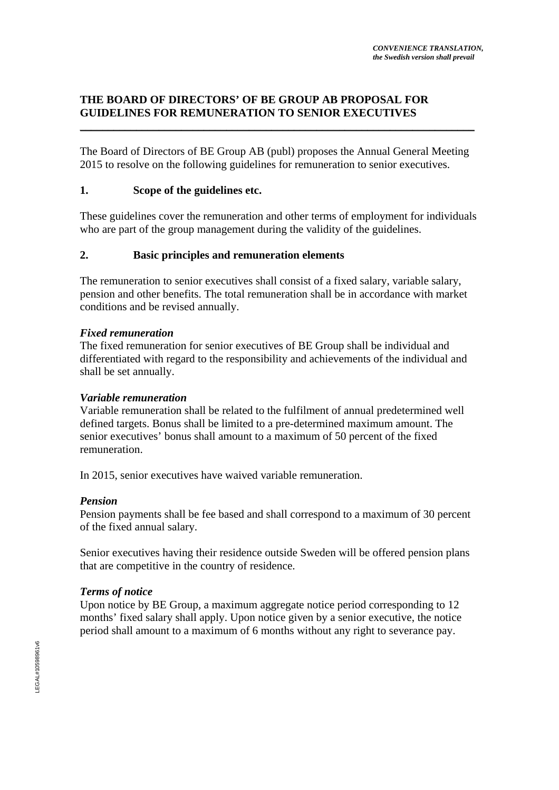# **THE BOARD OF DIRECTORS' OF BE GROUP AB PROPOSAL FOR GUIDELINES FOR REMUNERATION TO SENIOR EXECUTIVES**  \_\_\_\_\_\_\_\_\_\_\_\_\_\_\_\_\_\_\_\_\_\_\_\_\_\_\_\_\_\_\_\_\_\_\_\_\_\_\_\_\_\_\_\_\_\_\_\_\_\_\_\_\_\_\_\_\_\_\_\_\_\_\_\_\_\_\_\_\_\_

The Board of Directors of BE Group AB (publ) proposes the Annual General Meeting 2015 to resolve on the following guidelines for remuneration to senior executives.

# **1. Scope of the guidelines etc.**

These guidelines cover the remuneration and other terms of employment for individuals who are part of the group management during the validity of the guidelines.

# **2. Basic principles and remuneration elements**

The remuneration to senior executives shall consist of a fixed salary, variable salary, pension and other benefits. The total remuneration shall be in accordance with market conditions and be revised annually.

#### *Fixed remuneration*

The fixed remuneration for senior executives of BE Group shall be individual and differentiated with regard to the responsibility and achievements of the individual and shall be set annually.

### *Variable remuneration*

Variable remuneration shall be related to the fulfilment of annual predetermined well defined targets. Bonus shall be limited to a pre-determined maximum amount. The senior executives' bonus shall amount to a maximum of 50 percent of the fixed remuneration.

In 2015, senior executives have waived variable remuneration.

### *Pension*

Pension payments shall be fee based and shall correspond to a maximum of 30 percent of the fixed annual salary.

Senior executives having their residence outside Sweden will be offered pension plans that are competitive in the country of residence.

### *Terms of notice*

Upon notice by BE Group, a maximum aggregate notice period corresponding to 12 months' fixed salary shall apply. Upon notice given by a senior executive, the notice period shall amount to a maximum of 6 months without any right to severance pay.